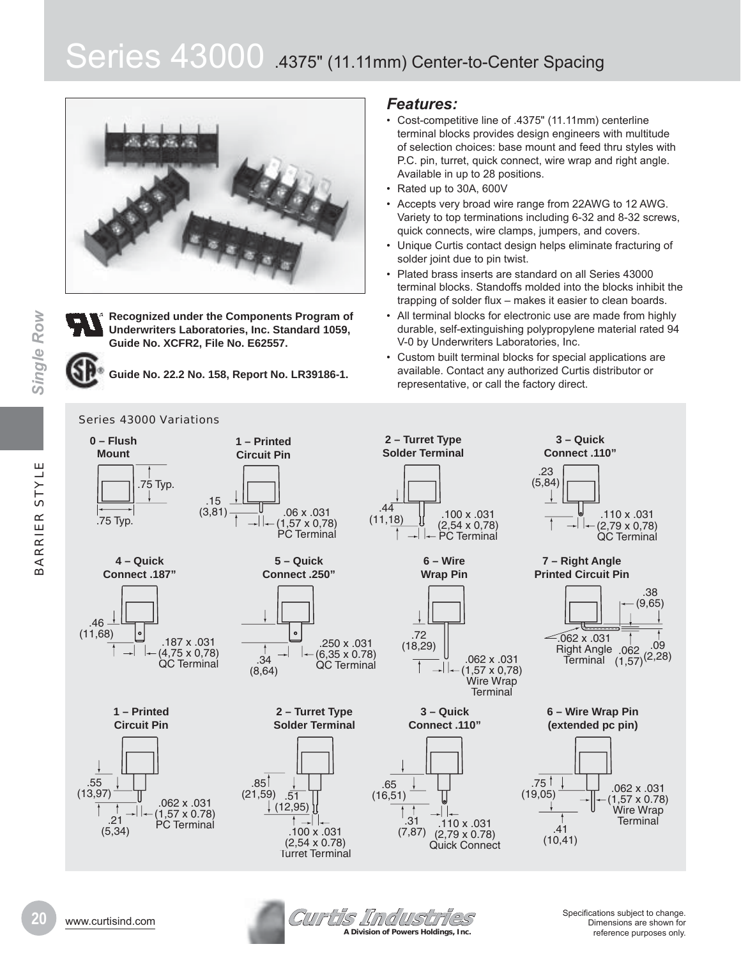# Series 43000 .4375" (11.11mm) Center-to-Center Spacing





**Single Row** 

**Recognized under the Components Program of Underwriters Laboratories, Inc. Standard 1059, Guide No. XCFR2, File No. E62557.** 

**Guide No. 22.2 No. 158, Report No. LR39186-1.**

#### Series 43000 Variations

# *Features:*

- Cost-competitive line of .4375" (11.11mm) centerline terminal blocks provides design engineers with multitude of selection choices: base mount and feed thru styles with P.C. pin, turret, quick connect, wire wrap and right angle. Available in up to 28 positions.
- $\cdot$  Rated up to 30A, 600V
- Accepts very broad wire range from 22AWG to 12 AWG. Variety to top terminations including 6-32 and 8-32 screws, quick connects, wire clamps, jumpers, and covers.
- Unique Curtis contact design helps eliminate fracturing of solder joint due to pin twist.
- Plated brass inserts are standard on all Series 43000 terminal blocks. Standoffs molded into the blocks inhibit the trapping of solder flux – makes it easier to clean boards.
- All terminal blocks for electronic use are made from highly durable, self-extinguishing polypropylene material rated 94 V-0 by Underwriters Laboratories, Inc.
- Custom built terminal blocks for special applications are available. Contact any authorized Curtis distributor or representative, or call the factory direct.



**Curtis Industries** www.curtisind.com 6SHci¿cDtions suEMHct to <sup>c</sup>KDnJH. **A Division of Powers Holdings, Inc.**

Dimensions are shown for reference purposes only.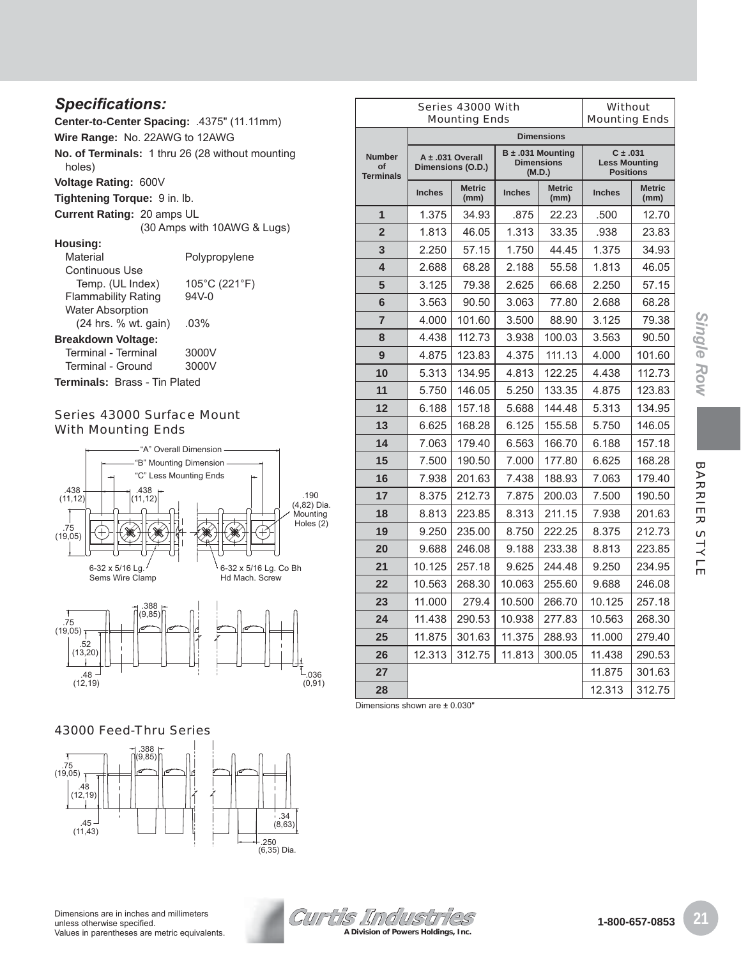# *SSeFi¿Fations:*

**Center-to-Center Spacing:** .4375" (11.11mm)

**Wire Range:** No. 22AWG to 12AWG

**No. of Terminals:** 1 thru 26 (28 without mounting holes)

**Voltage Rating:** 600V

**Tightening Torque:** 9 in. lb.

**Current Rating:** 20 amps UL

(30 Amps with 10AWG & Lugs)

#### **Housing:**

| Material                      | Polypropylene |
|-------------------------------|---------------|
| Continuous Use                |               |
| Temp. (UL Index)              | 105°C (221°F) |
| <b>Flammability Rating</b>    | $94V - 0$     |
| <b>Water Absorption</b>       |               |
| (24 hrs. % wt. gain)          | .03%          |
| <b>Breakdown Voltage:</b>     |               |
| Terminal - Terminal           | 3000V         |
| Terminal - Ground             | 3000V         |
| Terminals: Brass - Tin Plated |               |

# Series 43000 Surface Mount With Mounting Ends





| 43000 Feed-Thru Series |
|------------------------|
|------------------------|



| Dimensions are in inches and millimeters      |
|-----------------------------------------------|
| unless otherwise specified.                   |
| Values in parentheses are metric equivalents. |



#### **Number of Terminals A ± .031 Overall Dimensions (O.D.) Dimensions (M.D.) Less Mounting Positions Inches** Metric **(mm) Inches Metric (mm) Inches Metric (mm) 1** 1.375 34.93 .875 22.23 .500 12.70 **2** | 1.813 | 46.05 | 1.313 | 33.35 | .938 | 23.83 **3** | 2.250 | 57.15 | 1.750 | 44.45 | 1.375 | 34.93 **4** 2.688 68.28 2.188 55.58 1.813 46.05 **5** | 3.125 | 79.38 | 2.625 | 66.68 | 2.250 | 57.15 **6** | 3.563 | 90.50 | 3.063 | 77.80 | 2.688 | 68.28 **7** 4.000 101.60 3.500 88.90 3.125 79.38 **8** 4.438 112.73 3.938 100.03 3.563 90.50 **9** 4.875 | 123.83 | 4.375 | 111.13 | 4.000 | 101.60 **10** | 5.313 | 134.95 | 4.813 | 122.25 | 4.438 | 112.73 **11** | 5.750 | 146.05 | 5.250 | 133.35 | 4.875 | 123.83 **12** | 6.188 | 157.18 | 5.688 | 144.48 | 5.313 | 134.95 **13** 6.625 | 168.28 | 6.125 | 155.58 | 5.750 | 146.05 **14** 7.063 | 179.40 | 6.563 | 166.70 | 6.188 | 157.18 **15** 7.500 190.50 7.000 177.80 6.625 168.28 16 | 7.938 | 201.63 | 7.438 | 188.93 | 7.063 | 179.40 **17** 8.375 | 212.73 | 7.875 | 200.03 | 7.500 | 190.50 **18** 8.813 223.85 8.313 211.15 7.938 201.63 **19** | 9.250 | 235.00 | 8.750 | 222.25 | 8.375 | 212.73 **20** 9.688 246.08 9.188 233.38 8.813 223.85 **21** | 10.125 | 257.18 | 9.625 | 244.48 | 9.250 | 234.95 **22** | 10.563 | 268.30 | 10.063 | 255.60 | 9.688 | 246.08 **23** 11.000 279.4 10.500 266.70 10.125 257.18 **24** | 11.438 | 290.53 | 10.938 | 277.83 | 10.563 | 268.30 **25** 11.875 | 301.63 | 11.375 | 288.93 | 11.000 | 279.40 **26** 12.313 312.75 11.813 300.05 11.438 290.53 **27** 11.875 301.63

**28** 12.313 312.75

**Dimensions**

**B ± .031 Mounting** 

Series 43000 With Mounting Ends

Dimensions shown are ± 0.030"

**Without** Mounting Ends

**C ± .031**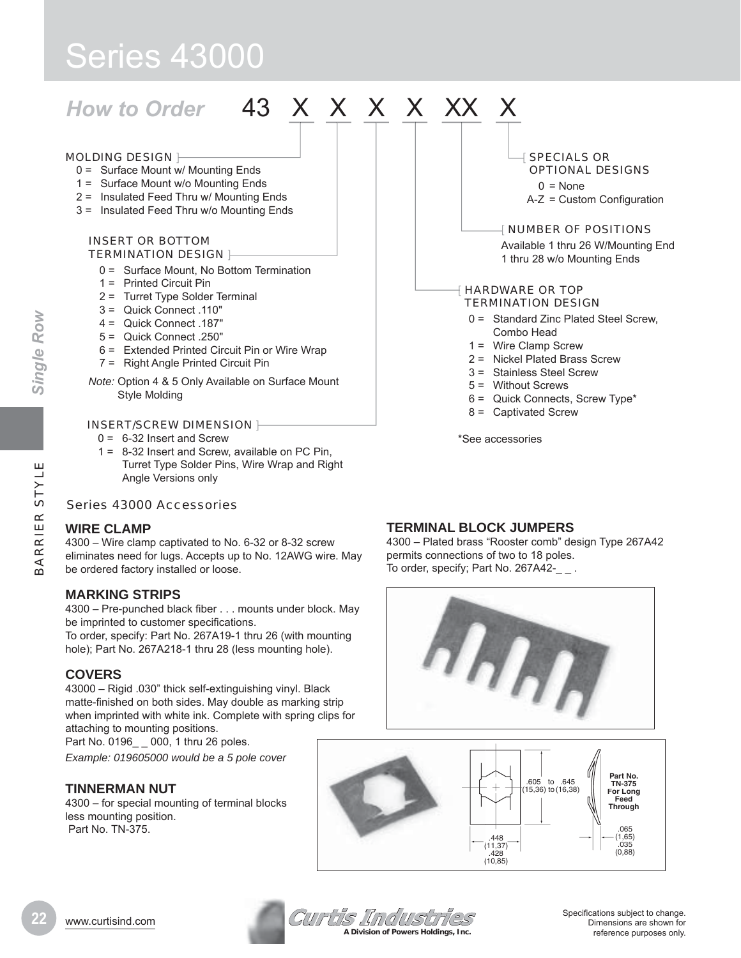# Series 43000

# How to Order 43 X X X X XX

#### MOLDING DESIGN H

- 0 = Surface Mount w/ Mounting Ends
- 1 = Surface Mount w/o Mounting Ends
- 2 = Insulated Feed Thru w/ Mounting Ends
- 3 = Insulated Feed Thru w/o Mounting Ends

#### INSERT OR BOTTOM TERMINATION DESIGN |-

- 0 = Surface Mount, No Bottom Termination
- 1 = Printed Circuit Pin
- 2 = Turret Type Solder Terminal
- 3 = Quick Connect .110"
- 4 = Quick Connect .187"
- $5 =$  Quick Connect 250"
- 6 = Extended Printed Circuit Pin or Wire Wrap
- 7 = Right Angle Printed Circuit Pin

*Note:* Option 4 & 5 Only Available on Surface Mount Style Molding

#### INSERT/SCREW DIMENSION |-

- $0 = 6-32$  Insert and Screw
- 1 = 8-32 Insert and Screw, available on PC Pin, Turret Type Solder Pins, Wire Wrap and Right Angle Versions only

# Series 43000 Accessories

# **WIRE CLAMP**

4300 – Wire clamp captivated to No. 6-32 or 8-32 screw eliminates need for lugs. Accepts up to No. 12AWG wire. May be ordered factory installed or loose.

# **MARKING STRIPS**

4300 – Pre-punched black fiber . . . mounts under block. May be imprinted to customer specifications.

To order, specify: Part No. 267A19-1 thru 26 (with mounting hole); Part No. 267A218-1 thru 28 (less mounting hole).

# **COVERS**

43000 – Rigid .030" thick self-extinguishing vinyl. Black matte-finished on both sides. May double as marking strip when imprinted with white ink. Complete with spring clips for attaching to mounting positions.

Part No. 0196\_ \_ 000, 1 thru 26 poles.

*Example: 019605000 would be a 5 pole cover*

# **TINNERMAN NUT**

4300 – for special mounting of terminal blocks less mounting position. Part No. TN-375.

# **TERMINAL BLOCK JUMPERS**

4300 – Plated brass "Rooster comb" design Type 267A42 permits connections of two to 18 poles. To order, specify; Part No. 267A42-\_ \_ .





**Specifications subject to change.**<br>
WWW.Curtisind.com Specifications subject to change.<br>
Specifications subject to change. **A Division of Powers Holdings, Inc.**

Dimensions are shown for reference purposes only.

#### **SPECIALS OR** OPTIONAL DESIGNS

 $0 = None$  $A-Z =$  Custom Configuration

#### [ NUMBER OF POSITIONS

Available 1 thru 26 W/Mounting End 1 thru 28 w/o Mounting Ends

#### HARDWARE OR TOP TERMINATION DESIGN

- 0 = Standard Zinc Plated Steel Screw, Combo Head
- 1 = Wire Clamp Screw
- 2 = Nickel Plated Brass Screw
- 3 = Stainless Steel Screw
- 5 = Without Screws
- 6 = Quick Connects, Screw Type\*
- 8 = Captivated Screw

\*See accessories

*Single Row*

**Single Row**